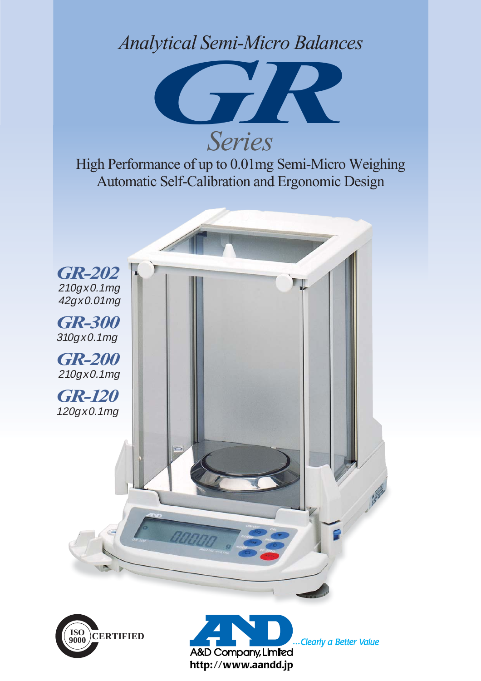## *Analytical Semi-Micro Balances*



High Performance of up to 0.01mg Semi-Micro Weighing Automatic Self-Calibration and Ergonomic Design







Clearly a Better Value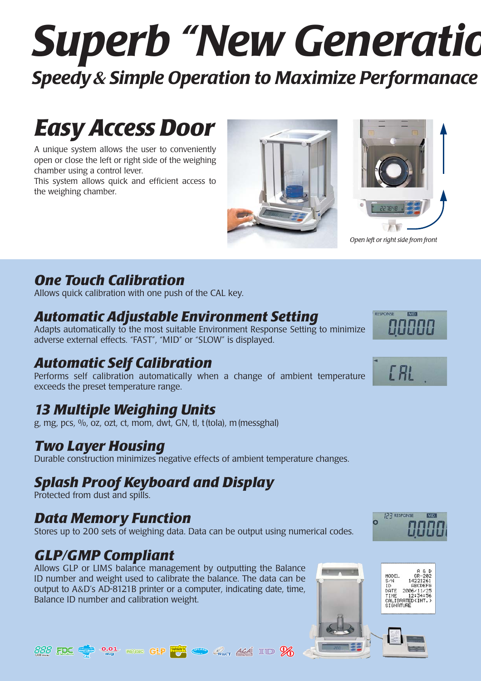# *Superb "New Generatio Speedy* **&** *Simple Operation to Maximize Performanace*

## *Easy Access Door*

A unique system allows the user to conveniently open or close the left or right side of the weighing chamber using a control lever.

This system allows quick and efficient access to the weighing chamber.



### *One Touch Calibration*

Allows quick calibration with one push of the CAL key.

#### *Automatic Adjustable Environment Setting*

Adapts automatically to the most suitable Environment Response Setting to minimize adverse external effects. "FAST", "MID" or "SLOW" is displayed.

## *Automatic Self Calibration*

Performs self calibration automatically when a change of ambient temperature exceeds the preset temperature range.

## *13 Multiple Weighing Units*

g, mg, pcs, %, oz, ozt, ct, mom, dwt, GN, tl, t (tola), m (messghal)

### *Two Layer Housing*

Durable construction minimizes negative effects of ambient temperature changes.

## *Splash Proof Keyboard and Display*

Protected from dust and spills.

### *Data Memory Function*

Stores up to 200 sets of weighing data. Data can be output using numerical codes.

## *GLP/GMP Compliant*

Allows GLP or LIMS balance management by outputting the Balance ID number and weight used to calibrate the balance. The data can be output to A&D's AD-8121B printer or a computer, indicating date, time, Balance ID number and calibration weight.

**ARE FOR SOLUTION** TO THE CLP THE CD C<sub>lear</sub> ACA ITD **%** 







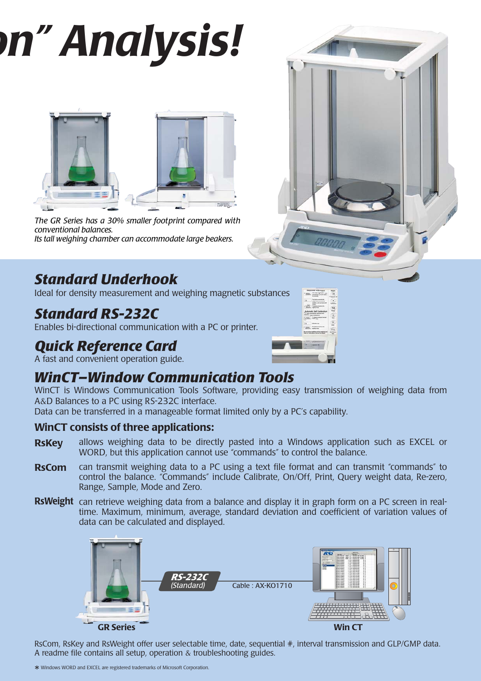# *on" Analysis!*



*The GR Series has a 30% smaller footprint compared with conventional balances. Its tall weighing chamber can accommodate large beakers.*

#### *Standard Underhook*

Ideal for density measurement and weighing magnetic substances

#### *Standard RS-232C*

Enables bi-directional communication with a PC or printer.

### *Quick Reference Card*

A fast and convenient operation guide.

### *WinCT–Window Communication Tools*

WinCT is Windows Communication Tools Software, providing easy transmission of weighing data from A&D Balances to a PC using RS-232C interface.

Data can be transferred in a manageable format limited only by a PC's capability.

#### **WinCT consists of three applications:**

- allows weighing data to be directly pasted into a Windows application such as EXCEL or WORD, but this application cannot use "commands" to control the balance. **RsKey**
- can transmit weighing data to a PC using a text file format and can transmit "commands" to control the balance. "Commands" include Calibrate, On/Off, Print, Query weight data, Re-zero, Range, Sample, Mode and Zero. **RsCom**
- **RsWeight** can retrieve weighing data from a balance and display it in graph form on a PC screen in realtime. Maximum, minimum, average, standard deviation and coefficient of variation values of data can be calculated and displayed.



RsCom, RsKey and RsWeight offer user selectable time, date, sequential #, interval transmission and GLP/GMP data. A readme file contains all setup, operation & troubleshooting guides.